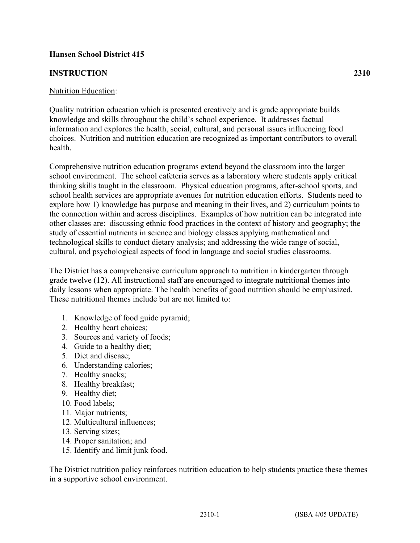# **Hansen School District 415**

### **INSTRUCTION 2310**

#### Nutrition Education:

Quality nutrition education which is presented creatively and is grade appropriate builds knowledge and skills throughout the child's school experience. It addresses factual information and explores the health, social, cultural, and personal issues influencing food choices. Nutrition and nutrition education are recognized as important contributors to overall health.

Comprehensive nutrition education programs extend beyond the classroom into the larger school environment. The school cafeteria serves as a laboratory where students apply critical thinking skills taught in the classroom. Physical education programs, after-school sports, and school health services are appropriate avenues for nutrition education efforts. Students need to explore how 1) knowledge has purpose and meaning in their lives, and 2) curriculum points to the connection within and across disciplines. Examples of how nutrition can be integrated into other classes are: discussing ethnic food practices in the context of history and geography; the study of essential nutrients in science and biology classes applying mathematical and technological skills to conduct dietary analysis; and addressing the wide range of social, cultural, and psychological aspects of food in language and social studies classrooms.

The District has a comprehensive curriculum approach to nutrition in kindergarten through grade twelve (12). All instructional staff are encouraged to integrate nutritional themes into daily lessons when appropriate. The health benefits of good nutrition should be emphasized. These nutritional themes include but are not limited to:

- 1. Knowledge of food guide pyramid;
- 2. Healthy heart choices;
- 3. Sources and variety of foods;
- 4. Guide to a healthy diet;
- 5. Diet and disease;
- 6. Understanding calories;
- 7. Healthy snacks;
- 8. Healthy breakfast;
- 9. Healthy diet;
- 10. Food labels;
- 11. Major nutrients;
- 12. Multicultural influences;
- 13. Serving sizes;
- 14. Proper sanitation; and
- 15. Identify and limit junk food.

The District nutrition policy reinforces nutrition education to help students practice these themes in a supportive school environment.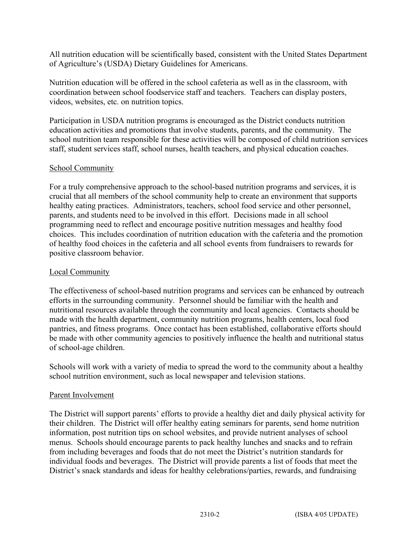All nutrition education will be scientifically based, consistent with the United States Department of Agriculture's (USDA) Dietary Guidelines for Americans.

Nutrition education will be offered in the school cafeteria as well as in the classroom, with coordination between school foodservice staff and teachers. Teachers can display posters, videos, websites, etc. on nutrition topics.

Participation in USDA nutrition programs is encouraged as the District conducts nutrition education activities and promotions that involve students, parents, and the community. The school nutrition team responsible for these activities will be composed of child nutrition services staff, student services staff, school nurses, health teachers, and physical education coaches.

## School Community

For a truly comprehensive approach to the school-based nutrition programs and services, it is crucial that all members of the school community help to create an environment that supports healthy eating practices. Administrators, teachers, school food service and other personnel, parents, and students need to be involved in this effort. Decisions made in all school programming need to reflect and encourage positive nutrition messages and healthy food choices. This includes coordination of nutrition education with the cafeteria and the promotion of healthy food choices in the cafeteria and all school events from fundraisers to rewards for positive classroom behavior.

### Local Community

The effectiveness of school-based nutrition programs and services can be enhanced by outreach efforts in the surrounding community. Personnel should be familiar with the health and nutritional resources available through the community and local agencies. Contacts should be made with the health department, community nutrition programs, health centers, local food pantries, and fitness programs. Once contact has been established, collaborative efforts should be made with other community agencies to positively influence the health and nutritional status of school-age children.

Schools will work with a variety of media to spread the word to the community about a healthy school nutrition environment, such as local newspaper and television stations.

### Parent Involvement

The District will support parents' efforts to provide a healthy diet and daily physical activity for their children. The District will offer healthy eating seminars for parents, send home nutrition information, post nutrition tips on school websites, and provide nutrient analyses of school menus. Schools should encourage parents to pack healthy lunches and snacks and to refrain from including beverages and foods that do not meet the District's nutrition standards for individual foods and beverages. The District will provide parents a list of foods that meet the District's snack standards and ideas for healthy celebrations/parties, rewards, and fundraising